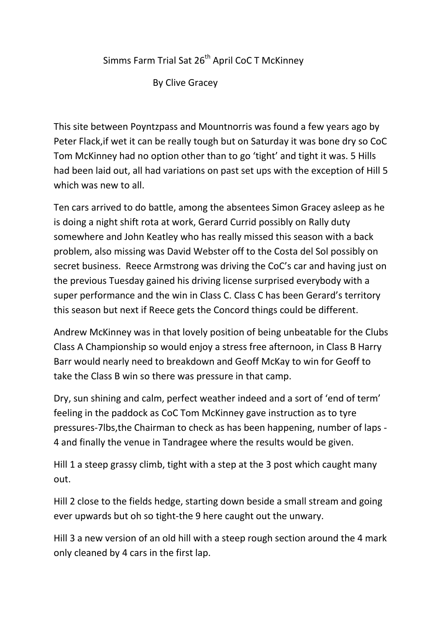## Simms Farm Trial Sat 26<sup>th</sup> April CoC T McKinney

By Clive Gracey

This site between Poyntzpass and Mountnorris was found a few years ago by Peter Flack,if wet it can be really tough but on Saturday it was bone dry so CoC Tom McKinney had no option other than to go 'tight' and tight it was. 5 Hills had been laid out, all had variations on past set ups with the exception of Hill 5 which was new to all.

Ten cars arrived to do battle, among the absentees Simon Gracey asleep as he is doing a night shift rota at work, Gerard Currid possibly on Rally duty somewhere and John Keatley who has really missed this season with a back problem, also missing was David Webster off to the Costa del Sol possibly on secret business. Reece Armstrong was driving the CoC's car and having just on the previous Tuesday gained his driving license surprised everybody with a super performance and the win in Class C. Class C has been Gerard's territory this season but next if Reece gets the Concord things could be different.

Andrew McKinney was in that lovely position of being unbeatable for the Clubs Class A Championship so would enjoy a stress free afternoon, in Class B Harry Barr would nearly need to breakdown and Geoff McKay to win for Geoff to take the Class B win so there was pressure in that camp.

Dry, sun shining and calm, perfect weather indeed and a sort of 'end of term' feeling in the paddock as CoC Tom McKinney gave instruction as to tyre pressures-7lbs,the Chairman to check as has been happening, number of laps - 4 and finally the venue in Tandragee where the results would be given.

Hill 1 a steep grassy climb, tight with a step at the 3 post which caught many out.

Hill 2 close to the fields hedge, starting down beside a small stream and going ever upwards but oh so tight-the 9 here caught out the unwary.

Hill 3 a new version of an old hill with a steep rough section around the 4 mark only cleaned by 4 cars in the first lap.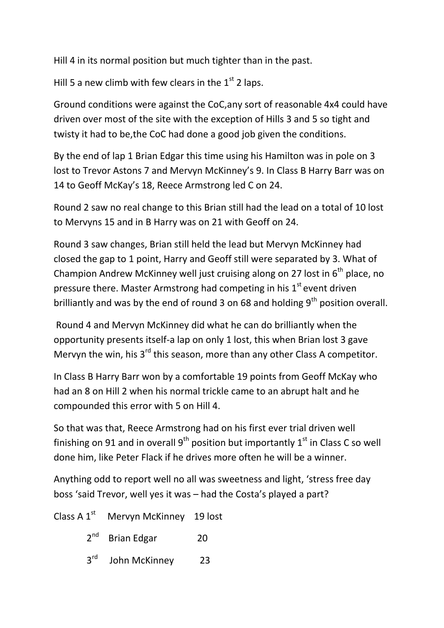Hill 4 in its normal position but much tighter than in the past.

Hill 5 a new climb with few clears in the  $1<sup>st</sup>$  2 laps.

Ground conditions were against the CoC,any sort of reasonable 4x4 could have driven over most of the site with the exception of Hills 3 and 5 so tight and twisty it had to be,the CoC had done a good job given the conditions.

By the end of lap 1 Brian Edgar this time using his Hamilton was in pole on 3 lost to Trevor Astons 7 and Mervyn McKinney's 9. In Class B Harry Barr was on 14 to Geoff McKay's 18, Reece Armstrong led C on 24.

Round 2 saw no real change to this Brian still had the lead on a total of 10 lost to Mervyns 15 and in B Harry was on 21 with Geoff on 24.

Round 3 saw changes, Brian still held the lead but Mervyn McKinney had closed the gap to 1 point, Harry and Geoff still were separated by 3. What of Champion Andrew McKinney well just cruising along on 27 lost in  $6<sup>th</sup>$  place, no pressure there. Master Armstrong had competing in his  $1<sup>st</sup>$  event driven brilliantly and was by the end of round 3 on 68 and holding  $9<sup>th</sup>$  position overall.

Round 4 and Mervyn McKinney did what he can do brilliantly when the opportunity presents itself-a lap on only 1 lost, this when Brian lost 3 gave Mervyn the win, his 3<sup>rd</sup> this season, more than any other Class A competitor.

In Class B Harry Barr won by a comfortable 19 points from Geoff McKay who had an 8 on Hill 2 when his normal trickle came to an abrupt halt and he compounded this error with 5 on Hill 4.

So that was that, Reece Armstrong had on his first ever trial driven well finishing on 91 and in overall  $9<sup>th</sup>$  position but importantly  $1<sup>st</sup>$  in Class C so well done him, like Peter Flack if he drives more often he will be a winner.

Anything odd to report well no all was sweetness and light, 'stress free day boss 'said Trevor, well yes it was – had the Costa's played a part?

| Class A $1^{st}$ Mervyn McKinney 19 lost |    |
|------------------------------------------|----|
| $2^{nd}$ Brian Edgar                     | 20 |
| 3rd John McKinney                        | 23 |